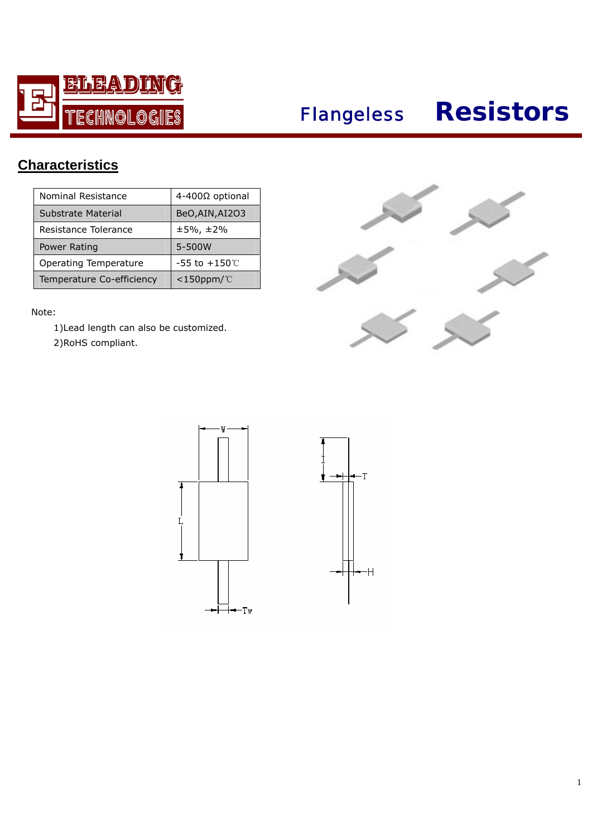

*Flangeless* **Resistors**

# **Characteristics**

| Nominal Resistance        | $4 - 400\Omega$ optional  |  |  |
|---------------------------|---------------------------|--|--|
| Substrate Material        | BeO,AIN,AI2O3             |  |  |
| Resistance Tolerance      | $±5\%$ , $±2\%$           |  |  |
| Power Rating              | 5-500W                    |  |  |
| Operating Temperature     | $-55$ to $+150^{\circ}$ C |  |  |
| Temperature Co-efficiency | $<$ 150ppm/ $°C$          |  |  |

#### Note:

1)Lead length can also be customized.

2)RoHS compliant.